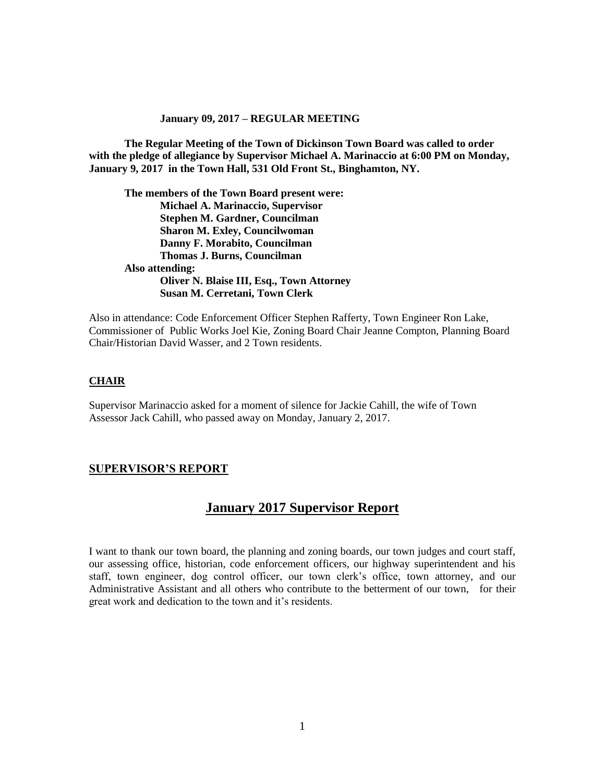**The Regular Meeting of the Town of Dickinson Town Board was called to order with the pledge of allegiance by Supervisor Michael A. Marinaccio at 6:00 PM on Monday, January 9, 2017 in the Town Hall, 531 Old Front St., Binghamton, NY.** 

**The members of the Town Board present were: Michael A. Marinaccio, Supervisor Stephen M. Gardner, Councilman Sharon M. Exley, Councilwoman Danny F. Morabito, Councilman Thomas J. Burns, Councilman Also attending: Oliver N. Blaise III, Esq., Town Attorney Susan M. Cerretani, Town Clerk**

Also in attendance: Code Enforcement Officer Stephen Rafferty, Town Engineer Ron Lake, Commissioner of Public Works Joel Kie, Zoning Board Chair Jeanne Compton, Planning Board Chair/Historian David Wasser, and 2 Town residents.

#### **CHAIR**

Supervisor Marinaccio asked for a moment of silence for Jackie Cahill, the wife of Town Assessor Jack Cahill, who passed away on Monday, January 2, 2017.

### **SUPERVISOR'S REPORT**

# **January 2017 Supervisor Report**

I want to thank our town board, the planning and zoning boards, our town judges and court staff, our assessing office, historian, code enforcement officers, our highway superintendent and his staff, town engineer, dog control officer, our town clerk's office, town attorney, and our Administrative Assistant and all others who contribute to the betterment of our town, for their great work and dedication to the town and it's residents.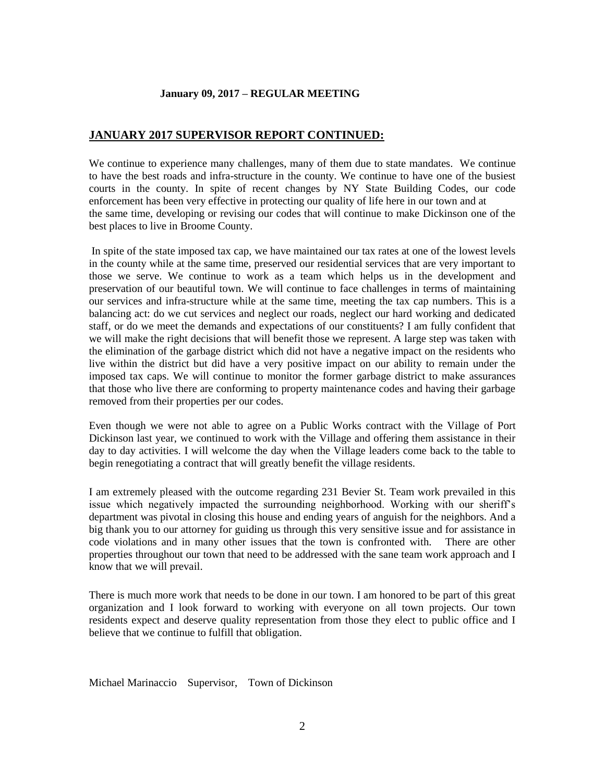## **JANUARY 2017 SUPERVISOR REPORT CONTINUED:**

We continue to experience many challenges, many of them due to state mandates. We continue to have the best roads and infra-structure in the county. We continue to have one of the busiest courts in the county. In spite of recent changes by NY State Building Codes, our code enforcement has been very effective in protecting our quality of life here in our town and at the same time, developing or revising our codes that will continue to make Dickinson one of the best places to live in Broome County.

In spite of the state imposed tax cap, we have maintained our tax rates at one of the lowest levels in the county while at the same time, preserved our residential services that are very important to those we serve. We continue to work as a team which helps us in the development and preservation of our beautiful town. We will continue to face challenges in terms of maintaining our services and infra-structure while at the same time, meeting the tax cap numbers. This is a balancing act: do we cut services and neglect our roads, neglect our hard working and dedicated staff, or do we meet the demands and expectations of our constituents? I am fully confident that we will make the right decisions that will benefit those we represent. A large step was taken with the elimination of the garbage district which did not have a negative impact on the residents who live within the district but did have a very positive impact on our ability to remain under the imposed tax caps. We will continue to monitor the former garbage district to make assurances that those who live there are conforming to property maintenance codes and having their garbage removed from their properties per our codes.

Even though we were not able to agree on a Public Works contract with the Village of Port Dickinson last year, we continued to work with the Village and offering them assistance in their day to day activities. I will welcome the day when the Village leaders come back to the table to begin renegotiating a contract that will greatly benefit the village residents.

I am extremely pleased with the outcome regarding 231 Bevier St. Team work prevailed in this issue which negatively impacted the surrounding neighborhood. Working with our sheriff's department was pivotal in closing this house and ending years of anguish for the neighbors. And a big thank you to our attorney for guiding us through this very sensitive issue and for assistance in code violations and in many other issues that the town is confronted with. There are other properties throughout our town that need to be addressed with the sane team work approach and I know that we will prevail.

There is much more work that needs to be done in our town. I am honored to be part of this great organization and I look forward to working with everyone on all town projects. Our town residents expect and deserve quality representation from those they elect to public office and I believe that we continue to fulfill that obligation.

Michael Marinaccio Supervisor, Town of Dickinson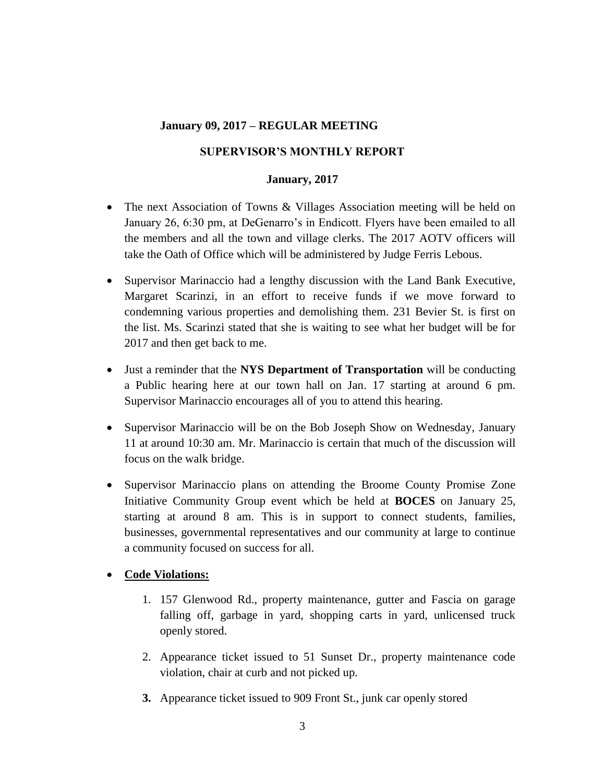# **SUPERVISOR'S MONTHLY REPORT**

## **January, 2017**

- The next Association of Towns & Villages Association meeting will be held on January 26, 6:30 pm, at DeGenarro's in Endicott. Flyers have been emailed to all the members and all the town and village clerks. The 2017 AOTV officers will take the Oath of Office which will be administered by Judge Ferris Lebous.
- Supervisor Marinaccio had a lengthy discussion with the Land Bank Executive, Margaret Scarinzi, in an effort to receive funds if we move forward to condemning various properties and demolishing them. 231 Bevier St. is first on the list. Ms. Scarinzi stated that she is waiting to see what her budget will be for 2017 and then get back to me.
- Just a reminder that the **NYS Department of Transportation** will be conducting a Public hearing here at our town hall on Jan. 17 starting at around 6 pm. Supervisor Marinaccio encourages all of you to attend this hearing.
- Supervisor Marinaccio will be on the Bob Joseph Show on Wednesday, January 11 at around 10:30 am. Mr. Marinaccio is certain that much of the discussion will focus on the walk bridge.
- Supervisor Marinaccio plans on attending the Broome County Promise Zone Initiative Community Group event which be held at **BOCES** on January 25, starting at around 8 am. This is in support to connect students, families, businesses, governmental representatives and our community at large to continue a community focused on success for all.

# **Code Violations:**

- 1. 157 Glenwood Rd., property maintenance, gutter and Fascia on garage falling off, garbage in yard, shopping carts in yard, unlicensed truck openly stored.
- 2. Appearance ticket issued to 51 Sunset Dr., property maintenance code violation, chair at curb and not picked up.
- **3.** Appearance ticket issued to 909 Front St., junk car openly stored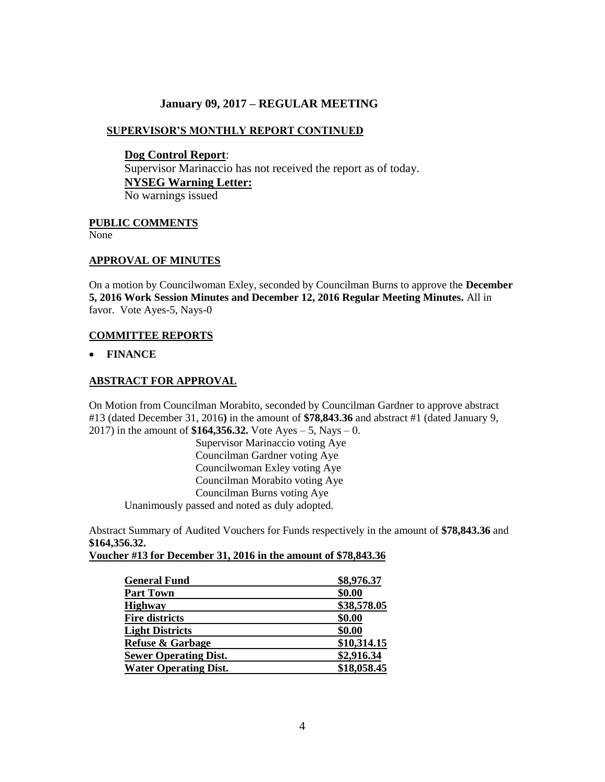## **SUPERVISOR'S MONTHLY REPORT CONTINUED**

**Dog Control Report**: Supervisor Marinaccio has not received the report as of today. **NYSEG Warning Letter:**  No warnings issued

### **PUBLIC COMMENTS**

None

### **APPROVAL OF MINUTES**

On a motion by Councilwoman Exley, seconded by Councilman Burns to approve the **December 5, 2016 Work Session Minutes and December 12, 2016 Regular Meeting Minutes.** All in favor. Vote Ayes-5, Nays-0

### **COMMITTEE REPORTS**

**FINANCE**

### **ABSTRACT FOR APPROVAL**

On Motion from Councilman Morabito, seconded by Councilman Gardner to approve abstract #13 (dated December 31, 2016**)** in the amount of **\$78,843.36** and abstract #1 (dated January 9, 2017) in the amount of **\$164,356.32.** Vote Ayes – 5, Nays – 0.

Supervisor Marinaccio voting Aye Councilman Gardner voting Aye Councilwoman Exley voting Aye Councilman Morabito voting Aye Councilman Burns voting Aye Unanimously passed and noted as duly adopted.

Abstract Summary of Audited Vouchers for Funds respectively in the amount of **\$78,843.36** and **\$164,356.32.**

#### **Voucher #13 for December 31, 2016 in the amount of \$78,843.36**

| <b>General Fund</b>          | \$8,976.37  |
|------------------------------|-------------|
| <b>Part Town</b>             | \$0.00      |
| <b>Highway</b>               | \$38,578.05 |
| <b>Fire districts</b>        | \$0.00      |
| <b>Light Districts</b>       | \$0.00      |
| <b>Refuse &amp; Garbage</b>  | \$10,314.15 |
| <b>Sewer Operating Dist.</b> | \$2,916.34  |
| <b>Water Operating Dist.</b> | \$18,058.45 |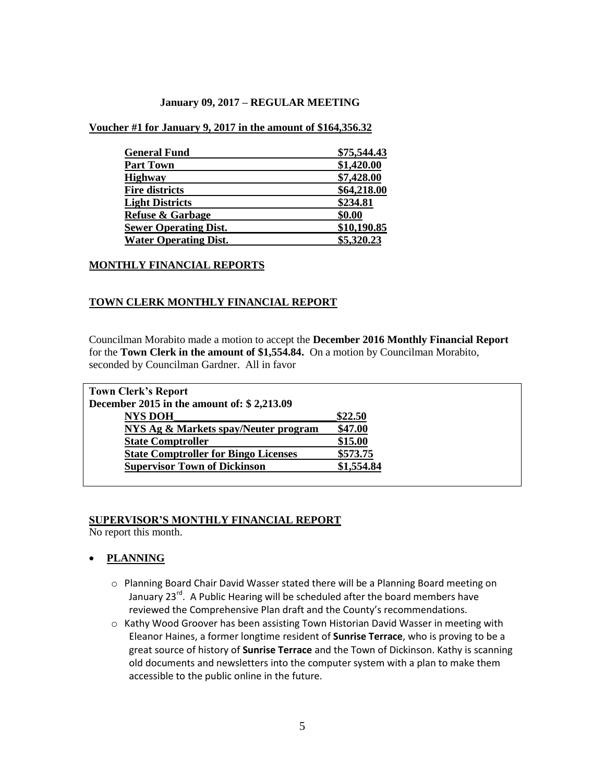**Voucher #1 for January 9, 2017 in the amount of \$164,356.32**

| <b>General Fund</b>          | \$75,544.43 |  |
|------------------------------|-------------|--|
| <b>Part Town</b>             | \$1,420.00  |  |
| <b>Highway</b>               | \$7,428.00  |  |
| <b>Fire districts</b>        | \$64,218.00 |  |
| <b>Light Districts</b>       | \$234.81    |  |
| <b>Refuse &amp; Garbage</b>  | \$0.00      |  |
| <b>Sewer Operating Dist.</b> | \$10,190.85 |  |
| <b>Water Operating Dist.</b> | \$5,320.23  |  |

### **MONTHLY FINANCIAL REPORTS**

### **TOWN CLERK MONTHLY FINANCIAL REPORT**

Councilman Morabito made a motion to accept the **December 2016 Monthly Financial Report** for the **Town Clerk in the amount of \$1,554.84.** On a motion by Councilman Morabito, seconded by Councilman Gardner. All in favor

| <b>Town Clerk's Report</b>                  |            |  |
|---------------------------------------------|------------|--|
| December 2015 in the amount of: $$2,213.09$ |            |  |
| <b>NYS DOH</b>                              | \$22.50    |  |
| NYS Ag & Markets spay/Neuter program        | \$47.00    |  |
| <b>State Comptroller</b>                    | \$15.00    |  |
| <b>State Comptroller for Bingo Licenses</b> | \$573.75   |  |
| <b>Supervisor Town of Dickinson</b>         | \$1,554.84 |  |
|                                             |            |  |

#### **SUPERVISOR'S MONTHLY FINANCIAL REPORT**

No report this month.

### **PLANNING**

- o Planning Board Chair David Wasser stated there will be a Planning Board meeting on January 23<sup>rd</sup>. A Public Hearing will be scheduled after the board members have reviewed the Comprehensive Plan draft and the County's recommendations.
- o Kathy Wood Groover has been assisting Town Historian David Wasser in meeting with Eleanor Haines, a former longtime resident of **Sunrise Terrace**, who is proving to be a great source of history of **Sunrise Terrace** and the Town of Dickinson. Kathy is scanning old documents and newsletters into the computer system with a plan to make them accessible to the public online in the future.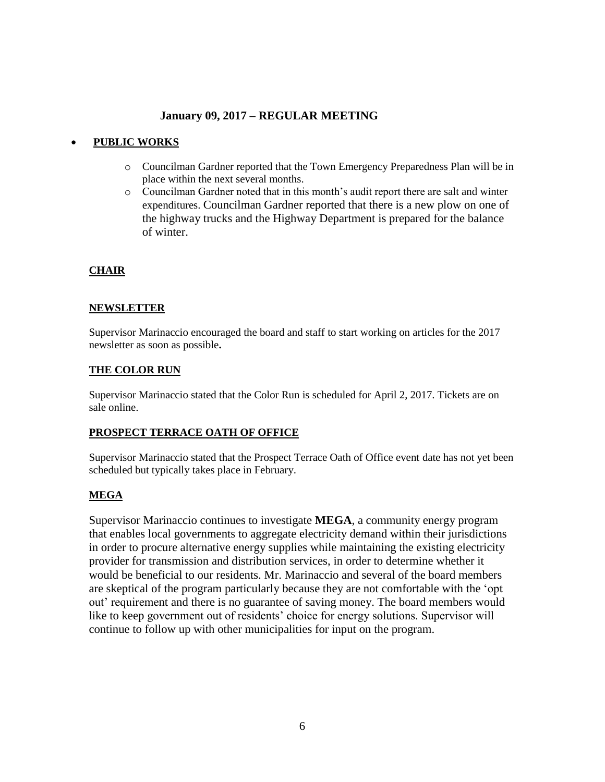## **PUBLIC WORKS**

- o Councilman Gardner reported that the Town Emergency Preparedness Plan will be in place within the next several months.
- o Councilman Gardner noted that in this month's audit report there are salt and winter expenditures. Councilman Gardner reported that there is a new plow on one of the highway trucks and the Highway Department is prepared for the balance of winter.

## **CHAIR**

### **NEWSLETTER**

Supervisor Marinaccio encouraged the board and staff to start working on articles for the 2017 newsletter as soon as possible**.**

### **THE COLOR RUN**

Supervisor Marinaccio stated that the Color Run is scheduled for April 2, 2017. Tickets are on sale online.

### **PROSPECT TERRACE OATH OF OFFICE**

Supervisor Marinaccio stated that the Prospect Terrace Oath of Office event date has not yet been scheduled but typically takes place in February.

### **MEGA**

Supervisor Marinaccio continues to investigate **MEGA**, a community energy program that enables local governments to aggregate electricity demand within their jurisdictions in order to procure alternative energy supplies while maintaining the existing electricity provider for transmission and distribution services, in order to determine whether it would be beneficial to our residents. Mr. Marinaccio and several of the board members are skeptical of the program particularly because they are not comfortable with the 'opt out' requirement and there is no guarantee of saving money. The board members would like to keep government out of residents' choice for energy solutions. Supervisor will continue to follow up with other municipalities for input on the program.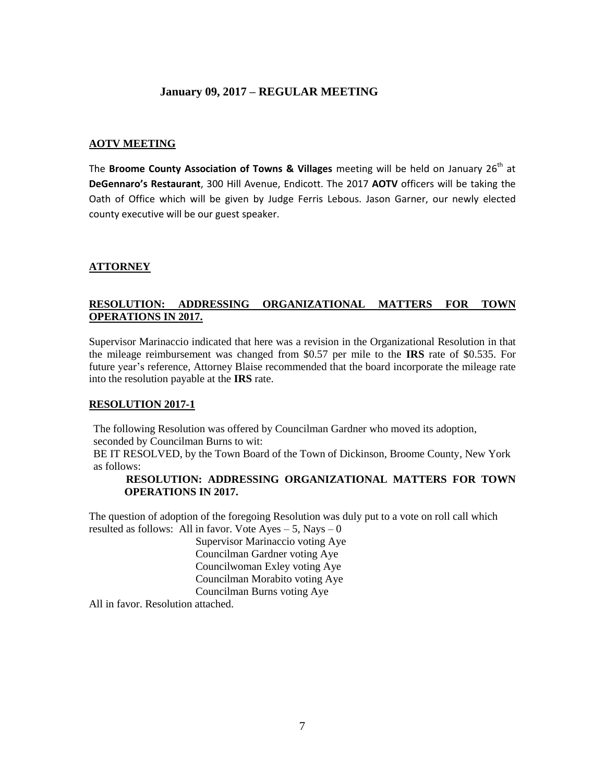## **AOTV MEETING**

The **Broome County Association of Towns & Villages** meeting will be held on January 26 th at **DeGennaro's Restaurant**, 300 Hill Avenue, Endicott. The 2017 **AOTV** officers will be taking the Oath of Office which will be given by Judge Ferris Lebous. Jason Garner, our newly elected county executive will be our guest speaker.

## **ATTORNEY**

## **RESOLUTION: ADDRESSING ORGANIZATIONAL MATTERS FOR TOWN OPERATIONS IN 2017.**

Supervisor Marinaccio indicated that here was a revision in the Organizational Resolution in that the mileage reimbursement was changed from \$0.57 per mile to the **IRS** rate of \$0.535. For future year's reference, Attorney Blaise recommended that the board incorporate the mileage rate into the resolution payable at the **IRS** rate.

### **RESOLUTION 2017-1**

The following Resolution was offered by Councilman Gardner who moved its adoption, seconded by Councilman Burns to wit:

BE IT RESOLVED, by the Town Board of the Town of Dickinson, Broome County, New York as follows:

### **RESOLUTION: ADDRESSING ORGANIZATIONAL MATTERS FOR TOWN OPERATIONS IN 2017.**

The question of adoption of the foregoing Resolution was duly put to a vote on roll call which resulted as follows: All in favor. Vote  $Ayes - 5$ , Nays – 0

Supervisor Marinaccio voting Aye Councilman Gardner voting Aye Councilwoman Exley voting Aye Councilman Morabito voting Aye Councilman Burns voting Aye

All in favor. Resolution attached.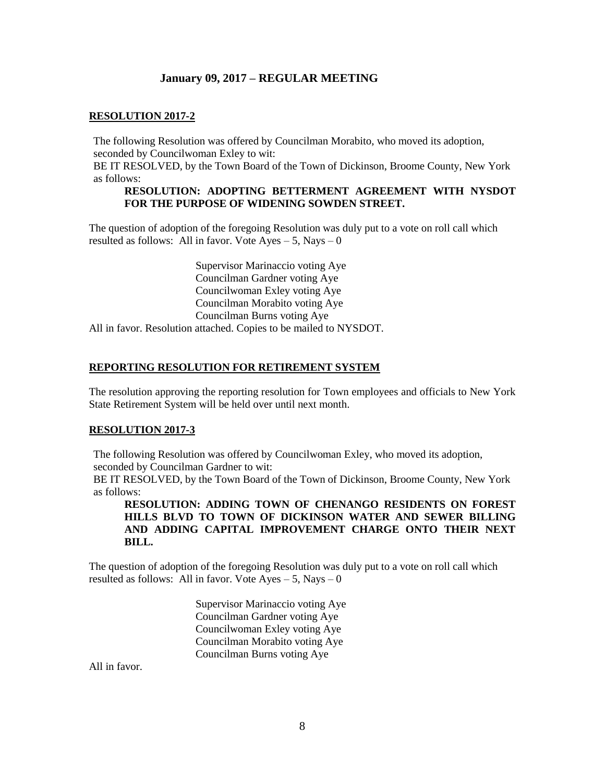### **RESOLUTION 2017-2**

The following Resolution was offered by Councilman Morabito, who moved its adoption, seconded by Councilwoman Exley to wit:

BE IT RESOLVED, by the Town Board of the Town of Dickinson, Broome County, New York as follows:

#### **RESOLUTION: ADOPTING BETTERMENT AGREEMENT WITH NYSDOT FOR THE PURPOSE OF WIDENING SOWDEN STREET.**

The question of adoption of the foregoing Resolution was duly put to a vote on roll call which resulted as follows: All in favor. Vote  $Ayes - 5$ , Nays – 0

> Supervisor Marinaccio voting Aye Councilman Gardner voting Aye Councilwoman Exley voting Aye Councilman Morabito voting Aye Councilman Burns voting Aye

All in favor. Resolution attached. Copies to be mailed to NYSDOT.

#### **REPORTING RESOLUTION FOR RETIREMENT SYSTEM**

The resolution approving the reporting resolution for Town employees and officials to New York State Retirement System will be held over until next month.

#### **RESOLUTION 2017-3**

The following Resolution was offered by Councilwoman Exley, who moved its adoption, seconded by Councilman Gardner to wit:

BE IT RESOLVED, by the Town Board of the Town of Dickinson, Broome County, New York as follows:

**RESOLUTION: ADDING TOWN OF CHENANGO RESIDENTS ON FOREST HILLS BLVD TO TOWN OF DICKINSON WATER AND SEWER BILLING AND ADDING CAPITAL IMPROVEMENT CHARGE ONTO THEIR NEXT BILL.**

The question of adoption of the foregoing Resolution was duly put to a vote on roll call which resulted as follows: All in favor. Vote  $Ayes - 5$ , Nays  $-0$ 

> Supervisor Marinaccio voting Aye Councilman Gardner voting Aye Councilwoman Exley voting Aye Councilman Morabito voting Aye Councilman Burns voting Aye

All in favor.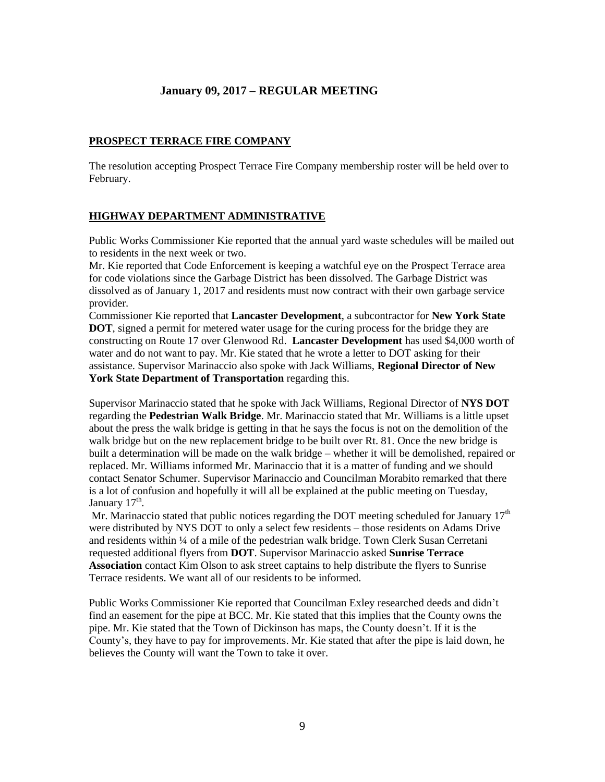### **PROSPECT TERRACE FIRE COMPANY**

The resolution accepting Prospect Terrace Fire Company membership roster will be held over to February.

### **HIGHWAY DEPARTMENT ADMINISTRATIVE**

Public Works Commissioner Kie reported that the annual yard waste schedules will be mailed out to residents in the next week or two.

Mr. Kie reported that Code Enforcement is keeping a watchful eye on the Prospect Terrace area for code violations since the Garbage District has been dissolved. The Garbage District was dissolved as of January 1, 2017 and residents must now contract with their own garbage service provider.

Commissioner Kie reported that **Lancaster Development**, a subcontractor for **New York State DOT**, signed a permit for metered water usage for the curing process for the bridge they are constructing on Route 17 over Glenwood Rd. **Lancaster Development** has used \$4,000 worth of water and do not want to pay. Mr. Kie stated that he wrote a letter to DOT asking for their assistance. Supervisor Marinaccio also spoke with Jack Williams, **Regional Director of New York State Department of Transportation** regarding this.

Supervisor Marinaccio stated that he spoke with Jack Williams, Regional Director of **NYS DOT** regarding the **Pedestrian Walk Bridge**. Mr. Marinaccio stated that Mr. Williams is a little upset about the press the walk bridge is getting in that he says the focus is not on the demolition of the walk bridge but on the new replacement bridge to be built over Rt. 81. Once the new bridge is built a determination will be made on the walk bridge – whether it will be demolished, repaired or replaced. Mr. Williams informed Mr. Marinaccio that it is a matter of funding and we should contact Senator Schumer. Supervisor Marinaccio and Councilman Morabito remarked that there is a lot of confusion and hopefully it will all be explained at the public meeting on Tuesday, January 17<sup>th</sup>.

Mr. Marinaccio stated that public notices regarding the DOT meeting scheduled for January  $17<sup>th</sup>$ were distributed by NYS DOT to only a select few residents – those residents on Adams Drive and residents within ¼ of a mile of the pedestrian walk bridge. Town Clerk Susan Cerretani requested additional flyers from **DOT**. Supervisor Marinaccio asked **Sunrise Terrace Association** contact Kim Olson to ask street captains to help distribute the flyers to Sunrise Terrace residents. We want all of our residents to be informed.

Public Works Commissioner Kie reported that Councilman Exley researched deeds and didn't find an easement for the pipe at BCC. Mr. Kie stated that this implies that the County owns the pipe. Mr. Kie stated that the Town of Dickinson has maps, the County doesn't. If it is the County's, they have to pay for improvements. Mr. Kie stated that after the pipe is laid down, he believes the County will want the Town to take it over.